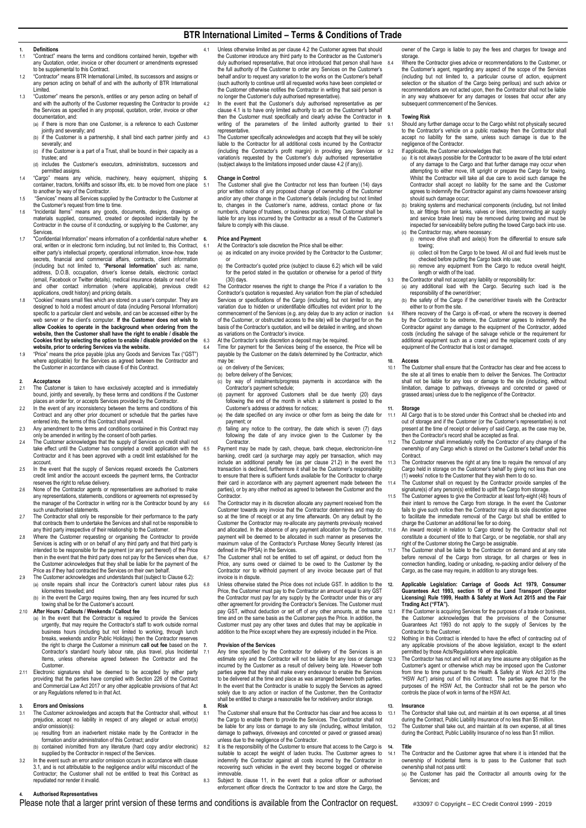## **BTR International Limited – Terms & Conditions of Trade**

# **1. Definitions**

- "Contract" means the terms and conditions contained herein, together with any Quotation, order, invoice or other document or amendments expressed to be supplemental to this Contract.
- 1.2 "Contractor" means BTR International Limited, its successors and assigns or any person acting on behalf of and with the authority of BTR International Limited.
- "Customer" means the person/s, entities or any person acting on behalf of and with the authority of the Customer requesting the Contractor to provide the Services as specified in any proposal, quotation, order, invoice or other documentation, and:
	- (a) if there is more than one Customer, is a reference to each Customer iointly and severally; and
	- (b) if the Customer is a partnership, it shall bind each partner jointly and 4.3 severally; and
	- (c) if the Customer is a part of a Trust, shall be bound in their capacity as a trustee; and
	- (d) includes the Customer's executors, administrators, successors and permitted assigns.
- 1.4 "Cargo" means any vehicle, machinery, heavy equipment, shipping container, tractors, forklifts and scissor lifts, etc. to be moved from one place to another by way of the Contractor.
- 1.5 "Services" means all Services supplied by the Contractor to the Cu the Customer's request from time to time.
- 1.6 "Incidental Items" means any goods, documents, designs, drawings or materials supplied, consumed, created or deposited incidentally by the Contractor in the course of it conducting, or supplying to the Customer, any Services.
- 1.7 "Confidential Information" means information of a confidential nature whether oral, written or in electronic form including, but not limited to, this Contract, either party's intellectual property, operational information, know-how, trade s, financial and commercial affairs, contracts, client information (including but not limited to, "**Personal Information**" such as: name, address, D.O.B, occupation, driver's license details, electronic contact (email, Facebook or Twitter details), medical insurance details or next of kin and other contact information (where applicable), previous credit applications, credit history) and pricing details.
- 1.8 "Cookies" means small files which are stored on a user's computer. They are designed to hold a modest amount of data (including Personal Information) specific to a particular client and website, and can be accessed either by the web server or the client's computer. **If the Customer does not wish to allow Cookies to operate in the background when ordering from the website, then the Customer shall have the right to enable / disable the Cookies first by selecting the option to enable / disable provided on the website, prior to ordering Services via the website.**
- 1.9 "Price" means the price payable (plus any Goods and Services Tax ("GST") where applicable) for the Services as agreed between the Contractor and the Customer in accordance with claus[e 6](#page-0-0) of this Contract.

## **2. Acceptance**

- 2.1 The Customer is taken to have exclusively accepted and is immediately bound, jointly and severally, by these terms and conditions if the Customer places an order for, or accepts Services provided by the Contractor.<br>In the event of any inconsistency between the terms and conditions of this
- 2.2 In the event of any inconsistency betwe Contract and any other prior document or schedule that the parties have entered into, the terms of this Contract shall prevail.
- 2.3 Any amendment to the terms and conditions contained in this Contract may only be amended in writing by the consent of both parties.
- 2.4 The Customer acknowledges that the supply of Services on credit shall not take effect until the Customer has completed a credit application with the 6.5 Contractor and it has been approved with a credit limit established for the account.
- In the event that the supply of Services request exceeds the Customers credit limit and/or the account exceeds the payment terms, the Contractor reserves the right to refuse delivery.
- 2.6 None of the Contractor agents or representatives are authorised to make any representations, statements, conditions or agreements not expressed by the manager of the Contractor in writing nor is the Contractor bound by any such unauthorised statements.
- The Contractor shall only be responsible for their performance to the party that contracts them to undertake the Services and shall not be responsible to any third party irrespective of their relationship to the Customer.
- 2.8 Where the Customer requesting or organising the Contractor to provide Services is acting with or on behalf of any third party and that third party is intended to be responsible for the payment (or any part thereof) of the Price then in the event that the third party does not pay for the Services when due, the Customer acknowledges that they shall be liable for the payment of the<br>Price as if they had contracted the Services on their own behalf.<br>The Customer acknowledges and understands that (subject to Claus[e 6.2\):](#page-0-1)
- (a) onsite repairs shall incur the Contractor's current labour rates plus 6.8 kilometres travelled; and
	- (b) in the event the Cargo requires towing, then any fees incurred for such towing shall be for the Customer's account.
- 2.10 **After Hours / Callouts / Weekends / Callout fee** (a) In the event that the Contractor is required to provide the Services urgently, that may require the Contractor's staff to work outside normal business hours (including but not limited to working, through lunch breaks, weekends and/or Public Holidays) then the Contractor reserves
	- the right to charge the Customer a minimum **call out fee** based on the Contractor's standard hourly labour rate, plus travel, plus Incidental Items, unless otherwise agreed between the Contractor and the Customer.
- 2.11 Electronic signatures shall be deemed to be accepted by either party providing that the parties have complied with Section 226 of the Contract and Commercial Law Act 2017 or any other applicable provisions of that Act or any Regulations referred to in that Act.

# <span id="page-0-2"></span>**3. Errors and Omissions**

- The Customer acknowledges and accepts that the Contractor shall, without 8.1 prejudice, accept no liability in respect of any alleged or actual error(s) and/or omission(s):
	- (a) resulting from an inadvertent mistake made by the Contractor in the formation and/or administration of this Contract; and/or
- (b) contained in/omitted from any literature (hard copy and/or electronic) 8.2 supplied by the Contractor in respect of the Services. 3.2 In the event such an error and/or omission occurs in accordance with clause
- [3.1,](#page-0-2) and is not attributable to the negligence and/or wilful misconduct of the Contractor; the Customer shall not be entitled to treat this Contract as repudiated nor render it invalid.
- <span id="page-0-4"></span>4.1 Unless otherwise limited as per claus[e 4.2](#page-0-3) the Customer agrees that should the Customer introduce any third party to the Contractor as the Customer's duly authorised representative, that once introduced that person shall have the full authority of the Customer to order any Services on the Customer's behalf and/or to request any variation to the works on the Customer's behalf (such authority to continue until all requested works have been completed or the Customer otherwise notifies the Contractor in writing that said person is no longer the Customer's duly authorised representative).
	- In the event that the Customer's duly authorised representative as per claus[e 4.1](#page-0-4) is to have only limited authority to act on the Customer's behalf then the Customer must specifically and clearly advise the Contractor in writing of the parameters of the limited authority granted to their representative.
- <span id="page-0-3"></span>The Customer specifically acknowledges and accepts that they will be solely liable to the Contractor for all additional costs incurred by the Contractor (including the Contractor's profit margin) in providing any Services or variation/s requested by the Customer's duly authorised representative (subject always to the limitations imposed under claus[e 4.2](#page-0-3) (if any)).

### **5. Change in Control**

The Customer shall give the Contractor not less than fourteen (14) days prior written notice of any proposed change of ownership of the Customer and/or any other change in the Customer's details (including but not limited to, changes in the Customer's name, address, contact phone or fax number/s, change of trustees, or business practice). The Customer shall be liable for any loss incurred by the Contractor as a result of the Customer's failure to comply with this clause.

# <span id="page-0-0"></span>**6. Price and Payment**

- At the Contractor's sole discretion the Price shall be either
- (a) as indicated on any invoice provided by the Contractor to the Customer; or
- (b) the Contractor's quoted price (subject to clause [6.2\)](#page-0-1) which will be valid for the period stated in the quotation or otherwise for a period of thirty (30) days.
- <span id="page-0-1"></span>6.2 The Contractor reserves the right to change the Price if a variation to the Contractor's quotation is requested. Any variation from the plan of scheduled Services or specifications of the Cargo (including, but not limited to, any variation due to hidden or unidentifiable difficulties not evident prior to the commencement of the Services (e.g. any delay due to any action or inaction of the Customer, or obstructed access to the site) will be charged for on the basis of the Contractor's quotation, and will be detailed in writing, and shown as variations on the Contractor's invoice.
- 6.3 At the Contractor's sole discretion a deposit may be required.
	- Time for payment for the Services being of the essence, the Price will be payable by the Customer on the date/s determined by the Contractor, which may be: (a) on delivery of the Services;
		- before delivery of the Services;
	- (c) by way of instalments/progress payments in accordance with the
	- Contractor's payment schedule; (d) payment for approved Customers shall be due twenty (20) days following the end of the month in which a statement is posted to the .<br>er's address or address for notices;
	- (e) the date specified on any invoice or other form as being the date for payment; or (f) failing any notice to the contrary, the date which is seven (7) days
	- following the date of any invoice given to the Customer by the **Contractor**
	- Payment may be made by cash, cheque, bank cheque, electronic/on-line banking, credit card (a surcharge may apply per transaction, which may include an additional penalty fee (as per clause [21.2\)](#page-1-0) in the event the transaction is declined, furthermore it shall be the Customer's responsibility to ensure that there is sufficient funds available for the Contractor to charge their card in accordance with any payment agreement made between the parties), or by any other method as agreed to between the Customer and the Contractor.
- 6.6 The Contractor may in its discretion allocate any payment received from the Customer towards any invoice that the Contractor determines and may do so at the time of receipt or at any time afterwards. On any default by the Customer the Contractor may re-allocate any payments previously received and allocated. In the absence of any payment allocation by the Contractor, payment will be deemed to be allocated in such manner as preserves the maximum value of the Contractor's Purchase Money Security Interest (as defined in the PPSA) in the Services.
	- The Customer shall not be entitled to set off against, or deduct from the Price, any sums owed or claimed to be owed to the Customer by the Contractor nor to withhold payment of any invoice because part of that invoice is in dispute.
	- Unless otherwise stated the Price does not include GST. In addition to the Price, the Customer must pay to the Contractor an amount equal to any GST the Contractor must pay for any supply by the Contractor under this or any other agreement for providing the Contractor's Services. The Customer must pay GST, without deduction or set off of any other amounts, at the same the and on the same basis as the Customer pays the Price. In addition, the Customer must pay any other taxes and duties that may be applicable in addition to the Price except where they are expressly included in the Price.

# **7. Provision of the Services**

- Any time specified by the Contractor for delivery of the Services is an estimate only and the Contractor will not be liable for any loss or damage incurred by the Customer as a result of delivery being late. However both parties agree that they shall make every endeavour to enable the Services to be delivered at the time and place as was arranged between both parties. In the event that the Contractor is unable to supply the Services as agreed solely due to any action or inaction of the Customer, then the Contractor shall be entitled to charge a reasonable fee for redelivery and/or storage. **8. Risk**
- The Customer shall ensure that the Contractor has clear and free access to the Cargo to enable them to provide the Services. The Contractor shall not be liable for any loss or damage to any site (including, without limitation, damage to pathways, driveways and concreted or paved or grassed areas) unless due to the negligence of the Contractor.
- 8.2 It is the responsibility of the Customer to ensure that access to the Cargo is suitable to accept the weight of laden trucks. The Customer agrees to indemnify the Contractor against all costs incurred by the Contractor in recovering such vehicles in the event they become bogged or otherwise immovable.
- 8.3 Subject to clause [11,](#page-0-5) in the event that a police officer or authorised enforcement officer directs the Contractor to tow and store the Cargo, the

owner of the Cargo is liable to pay the fees and charges for towage and storage

8.4 Where the Contractor gives advice or recommendations to the Customer, or the Customer's agent, regarding any aspect of the scope of the Services (including but not limited to, a particular course of action, equipment selection or the situation of the Cargo being perilous) and such advice or recommendations are not acted upon, then the Contractor shall not be liable in any way whatsoever for any damages or losses that occur after any subsequent commencement of the Services.

### **9. Towing Risk**

- 9.1 Should any further damage occur to the Cargo whilst not physically secured to the Contractor's vehicle on a public roadway then the Contractor shall accept no liability for the same, unless such damage is due to the negligence of the Contractor.
- 9.2 If applicable, the Customer acknowledges that:
	- (a) it is not always possible for the Contractor to be aware of the total extent of any damage to the Cargo and that further damage may occur when attempting to either move, lift upright or prepare the Cargo for towing. Whilst the Contractor will take all due care to avoid such damage the Contractor shall accept no liability for the same and the Customer agrees to indemnify the Contractor against any claims howsoever arising ould such damage occur;
	- (b) braking systems and mechanical components (including, but not limited to, air fittings from air tanks, valves or lines, interconnecting air supply and service brake lines) may be removed during towing and must be inspected for serviceability before putting the towed Cargo back into use.
	- (c) the Contractor may, where necessary: (i) remove drive shaft and axle(s) from the differential to ensure safe towing;
		- (ii) collect oil from the Cargo to be towed. All oil and fluid levels must be checked before putting the Cargo back into use;
		- (iii) remove any equipment from the Cargo to reduce overall height, length or width of the load.
- 9.3 the Contractor shall not accept any liability or responsibility for
	- (a) any additional load with the Cargo. Securing such load is the responsibility of the owner/driver;
	- (b) the safety of the Cargo if the owner/driver travels with the Contractor either to or from the site.
- 9.4 Where recovery of the Cargo is off-road, or where the recovery is deemed by the Contractor to be extreme, the Customer agrees to indemnify the Contractor against any damage to the equipment of the Contractor, added costs (including the salvage of the salvage vehicle or the requirement for additional equipment such as a crane) and the replacement costs of any equipment of the Contractor that is lost or damaged.

**10. Access** 10.1 The Customer shall ensure that the Contractor has clear and free access to the site at all times to enable them to deliver the Services. The Contractor shall not be liable for any loss or damage to the site (including, without limitation, damage to pathways, driveways and concreted or paved or grassed areas) unless due to the negligence of the Contractor.

### <span id="page-0-5"></span>**11. Storage**

- 11.1 All Cargo that is to be stored under this Contract shall be checked into and<br>out of storage and if the Customer (or the Customer's representative) is not<br>present at the time of receipt or delivery of said Cargo, as th then the Contractor's record shall be accepted as final.
- 11.2 The Customer shall immediately notify the Contractor of any change of the ownership of any Cargo which is stored on the Customer's behalf under this Contract.
- 11.3 The Contractor reserves the right at any time to require the removal of any Cargo held in storage on the Customer's behalf by giving not less than one (1) weeks' notice to the Customer that they wish them to do so.
- The Customer shall on request by the Contractor provide samples of the
- signature(s) of any person(s) entitled to uplift the Cargo from storage.<br>11.5 The Customer agrees to give the Contractor at least forty-eight (48) hours of<br>their intent to remove the Cargo from storage. In the event the Cu fails to give such notice then the Contractor may at its sole discretion agree to facilitate the immediate removal of the Cargo but shall be entitled to charge the Customer an additional fee for so doing.
- 11.6 An inward receipt in relation to Cargo stored by the Contractor shall not constitute a document of title to that Cargo, or be negotiable, nor shall any right of the Customer storing the Cargo be assignable.
- The Customer shall be liable to the Contractor on demand and at any rate before removal of the Cargo from storage, for all charges or fe connection handling, loading or unloading, re-packing and/or delivery of the Cargo, as the case may require, in addition to any storage fees.
- **12. Applicable Legislation: Carriage of Goods Act 1979, Consumer Guarantees Act 1993, section 10 of the Land Transport (Operator Licensing) Rule 1999, Health & Safety at Work Act 2015 and the Fair Trading Act ("FTA").**
- 12.1 If the Customer is acquiring Services for the purposes of a trade or business, the Customer acknowledges that the provisions of the Consumer Guarantees Act 1993 do not apply to the supply of Services by the Contractor to the Customer.
- 12.2 Nothing in this Contract is intended to have the effect of contracting out of any applicable provisions of the above legislation, except to the extent permitted by those Acts/Regulations where applicable.
- 12.3 The Contractor has not and will not at any time assume any obligation as the Customer's agent or otherwise which may be imposed upon the Customer from time to time pursuant to the Health & Safety at Work Act 2015 (the "HSW Act") arising out of this Contract. The parties agree that for the purposes of the HSW Act, the Contractor shall not be the person who controls the place of work in terms of the HSW Act.

### **13. Insurance**

13.1 The Contractor shall take out, and maintain at its own expense, at all times during the Contract, Public Liability Insurance of no less than \$5 million. 13.2 The Customer shall take out, and maintain at its own expense, at all times during the Contract, Public Liability Insurance of no less than \$1 million.

## **14. Title**

- 14.1 The Contractor and the Customer agree that where it is intended that the ownership of Incidental Items is to pass to the Customer that such ownership shall not pass until:
	- (a) the Customer has paid the Contractor all amounts owing for the Services; and

## **4. Authorised Representatives**

Please note that a larger print version of these terms and conditions is available from the Contractor on request. #33097 © Copyright – EC Credit Control 1999 - 2019